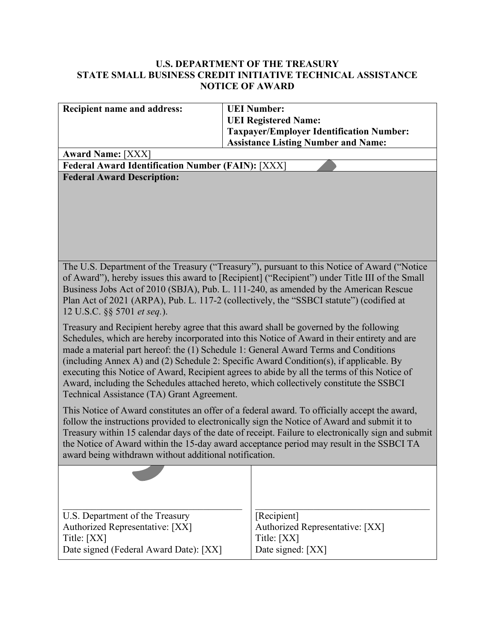## **U.S. DEPARTMENT OF THE TREASURY STATE SMALL BUSINESS CREDIT INITIATIVE TECHNICAL ASSISTANCE NOTICE OF AWARD**

| Recipient name and address:                                                                                                                                                                                                                                                                                                                                                                                                                                                                                                                                                                                      | <b>UEI Number:</b><br><b>UEI Registered Name:</b>                                             |  |  |
|------------------------------------------------------------------------------------------------------------------------------------------------------------------------------------------------------------------------------------------------------------------------------------------------------------------------------------------------------------------------------------------------------------------------------------------------------------------------------------------------------------------------------------------------------------------------------------------------------------------|-----------------------------------------------------------------------------------------------|--|--|
|                                                                                                                                                                                                                                                                                                                                                                                                                                                                                                                                                                                                                  | <b>Taxpayer/Employer Identification Number:</b><br><b>Assistance Listing Number and Name:</b> |  |  |
| <b>Award Name: [XXX]</b>                                                                                                                                                                                                                                                                                                                                                                                                                                                                                                                                                                                         |                                                                                               |  |  |
| <b>Federal Award Identification Number (FAIN): [XXX]</b>                                                                                                                                                                                                                                                                                                                                                                                                                                                                                                                                                         |                                                                                               |  |  |
| <b>Federal Award Description:</b>                                                                                                                                                                                                                                                                                                                                                                                                                                                                                                                                                                                |                                                                                               |  |  |
| The U.S. Department of the Treasury ("Treasury"), pursuant to this Notice of Award ("Notice"<br>of Award"), hereby issues this award to [Recipient] ("Recipient") under Title III of the Small<br>Business Jobs Act of 2010 (SBJA), Pub. L. 111-240, as amended by the American Rescue<br>Plan Act of 2021 (ARPA), Pub. L. 117-2 (collectively, the "SSBCI statute") (codified at<br>12 U.S.C. §§ 5701 et seq.).                                                                                                                                                                                                 |                                                                                               |  |  |
| Treasury and Recipient hereby agree that this award shall be governed by the following<br>Schedules, which are hereby incorporated into this Notice of Award in their entirety and are<br>made a material part hereof: the (1) Schedule 1: General Award Terms and Conditions<br>(including Annex A) and (2) Schedule 2: Specific Award Condition(s), if applicable. By<br>executing this Notice of Award, Recipient agrees to abide by all the terms of this Notice of<br>Award, including the Schedules attached hereto, which collectively constitute the SSBCI<br>Technical Assistance (TA) Grant Agreement. |                                                                                               |  |  |
| This Notice of Award constitutes an offer of a federal award. To officially accept the award,<br>follow the instructions provided to electronically sign the Notice of Award and submit it to<br>Treasury within 15 calendar days of the date of receipt. Failure to electronically sign and submit<br>the Notice of Award within the 15-day award acceptance period may result in the SSBCI TA<br>award being withdrawn without additional notification.                                                                                                                                                        |                                                                                               |  |  |
|                                                                                                                                                                                                                                                                                                                                                                                                                                                                                                                                                                                                                  |                                                                                               |  |  |
| U.S. Department of the Treasury<br>Authorized Representative: [XX]<br>Title: [XX]<br>Date signed (Federal Award Date): [XX]                                                                                                                                                                                                                                                                                                                                                                                                                                                                                      | [Recipient]<br>Authorized Representative: [XX]<br>Title: [XX]<br>Date signed: [XX]            |  |  |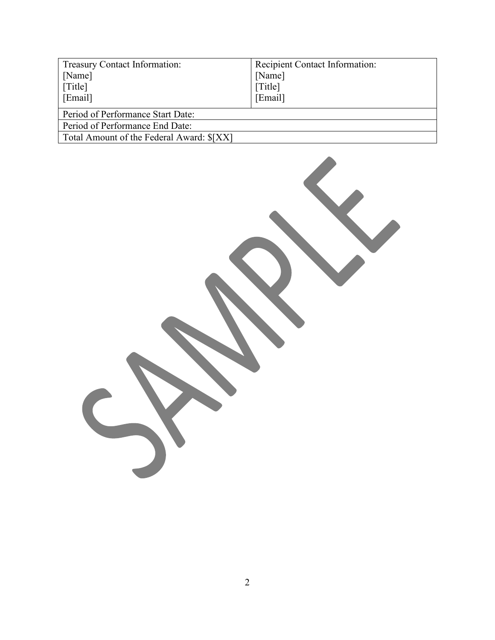| Treasury Contact Information:             | Recipient Contact Information: |  |
|-------------------------------------------|--------------------------------|--|
| [Name]                                    | [Name]                         |  |
| [Title]                                   | [Title]                        |  |
| [Email]                                   | [Email]                        |  |
| Period of Performance Start Date:         |                                |  |
| Period of Performance End Date:           |                                |  |
| Total Amount of the Federal Award: \$[XX] |                                |  |

 $\overline{\phantom{a}}$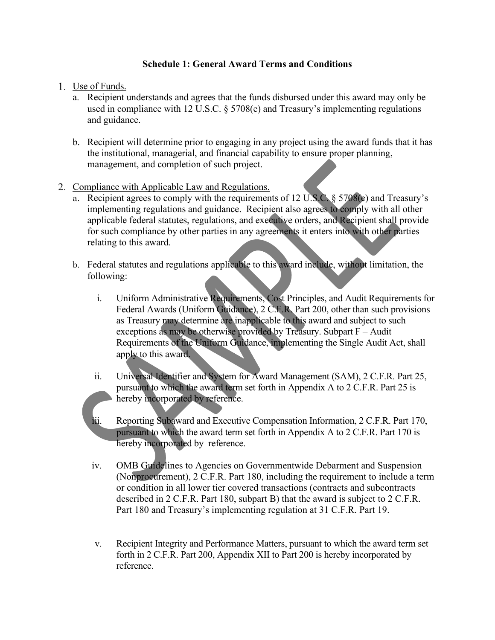### **Schedule 1: General Award Terms and Conditions**

- 1. Use of Funds.
	- a. Recipient understands and agrees that the funds disbursed under this award may only be used in compliance with 12 U.S.C. § 5708(e) and Treasury's implementing regulations and guidance.
	- b. Recipient will determine prior to engaging in any project using the award funds that it has the institutional, managerial, and financial capability to ensure proper planning, management, and completion of such project.
- 2. Compliance with Applicable Law and Regulations.
	- a. Recipient agrees to comply with the requirements of 12 U.S.C. § 5708(e) and Treasury's implementing regulations and guidance. Recipient also agrees to comply with all other applicable federal statutes, regulations, and executive orders, and Recipient shall provide for such compliance by other parties in any agreements it enters into with other parties relating to this award.
	- b. Federal statutes and regulations applicable to this award include, without limitation, the following:
		- i. Uniform Administrative Requirements, Cost Principles, and Audit Requirements for Federal Awards (Uniform Guidance), 2 C.F.R. Part 200, other than such provisions as Treasury may determine are inapplicable to this award and subject to such exceptions as may be otherwise provided by Treasury. Subpart F – Audit Requirements of the Uniform Guidance, implementing the Single Audit Act, shall apply to this award.
		- ii. Universal Identifier and System for Award Management (SAM), 2 C.F.R. Part 25, pursuant to which the award term set forth in Appendix A to 2 C.F.R. Part 25 is hereby incorporated by reference.
		- iii. Reporting Subaward and Executive Compensation Information, 2 C.F.R. Part 170, pursuant to which the award term set forth in Appendix A to 2 C.F.R. Part 170 is hereby incorporated by reference.
		- iv. OMB Guidelines to Agencies on Governmentwide Debarment and Suspension (Nonprocurement), 2 C.F.R. Part 180, including the requirement to include a term or condition in all lower tier covered transactions (contracts and subcontracts described in 2 C.F.R. Part 180, subpart B) that the award is subject to 2 C.F.R. Part 180 and Treasury's implementing regulation at 31 C.F.R. Part 19.
		- v. Recipient Integrity and Performance Matters, pursuant to which the award term set forth in 2 C.F.R. Part 200, Appendix XII to Part 200 is hereby incorporated by reference.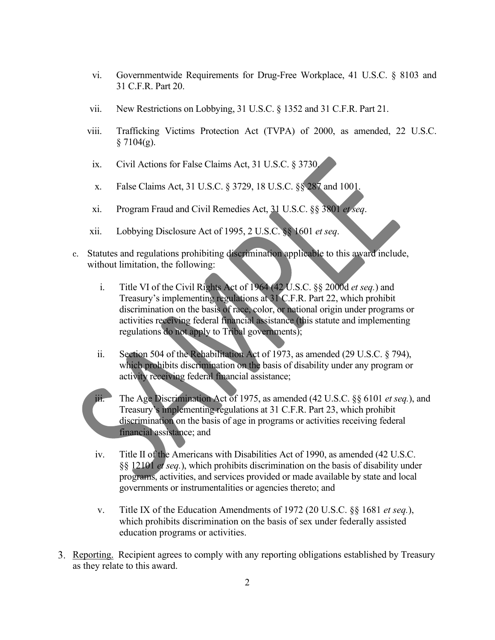- vi. Governmentwide Requirements for Drug-Free Workplace, 41 U.S.C. § 8103 and 31 C.F.R. Part 20.
- vii. New Restrictions on Lobbying, 31 U.S.C. § 1352 and 31 C.F.R. Part 21.
- viii. Trafficking Victims Protection Act (TVPA) of 2000, as amended, 22 U.S.C.  $§ 7104(g).$
- ix. Civil Actions for False Claims Act, 31 U.S.C. § 3730.
- x. False Claims Act, 31 U.S.C. § 3729, 18 U.S.C. §§ 287 and 1001.
- xi. Program Fraud and Civil Remedies Act, 31 U.S.C. §§ 3801 *et seq*.
- xii. Lobbying Disclosure Act of 1995, 2 U.S.C. §§ 1601 *et seq*.
- c. Statutes and regulations prohibiting discrimination applicable to this award include, without limitation, the following:
	- i. Title VI of the Civil Rights Act of 1964 (42 U.S.C. §§ 2000d *et seq.*) and Treasury's implementing regulations at 31 C.F.R. Part 22, which prohibit discrimination on the basis of race, color, or national origin under programs or activities receiving federal financial assistance (this statute and implementing regulations do not apply to Tribal governments);
	- ii. Section 504 of the Rehabilitation Act of 1973, as amended (29 U.S.C. § 794), which prohibits discrimination on the basis of disability under any program or activity receiving federal financial assistance;

iii. The Age Discrimination Act of 1975, as amended (42 U.S.C. §§ 6101 *et seq.*), and Treasury's implementing regulations at 31 C.F.R. Part 23, which prohibit discrimination on the basis of age in programs or activities receiving federal financial assistance; and

- iv. Title II of the Americans with Disabilities Act of 1990, as amended (42 U.S.C. §§ 12101 *et seq.*), which prohibits discrimination on the basis of disability under programs, activities, and services provided or made available by state and local governments or instrumentalities or agencies thereto; and
- v. Title IX of the Education Amendments of 1972 (20 U.S.C. §§ 1681 *et seq.*), which prohibits discrimination on the basis of sex under federally assisted education programs or activities.
- Reporting. Recipient agrees to comply with any reporting obligations established by Treasury as they relate to this award.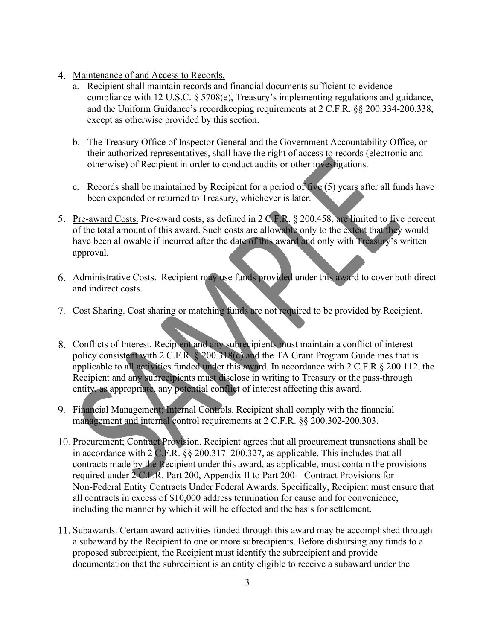- 4. Maintenance of and Access to Records.
	- a. Recipient shall maintain records and financial documents sufficient to evidence compliance with 12 U.S.C. § 5708(e), Treasury's implementing regulations and guidance, and the Uniform Guidance's recordkeeping requirements at 2 C.F.R. §§ 200.334-200.338, except as otherwise provided by this section.
	- b. The Treasury Office of Inspector General and the Government Accountability Office, or their authorized representatives, shall have the right of access to records (electronic and otherwise) of Recipient in order to conduct audits or other investigations.
	- c. Records shall be maintained by Recipient for a period of five  $(5)$  years after all funds have been expended or returned to Treasury, whichever is later.
- Pre-award Costs. Pre-award costs, as defined in 2 C.F.R. § 200.458, are limited to five percent of the total amount of this award. Such costs are allowable only to the extent that they would have been allowable if incurred after the date of this award and only with Treasury's written approval.
- Administrative Costs. Recipient may use funds provided under this award to cover both direct and indirect costs.
- 7. Cost Sharing. Cost sharing or matching funds are not required to be provided by Recipient.
- Conflicts of Interest. Recipient and any subrecipients must maintain a conflict of interest policy consistent with 2 C.F.R. § 200.318(c) and the TA Grant Program Guidelines that is applicable to all activities funded under this award. In accordance with 2 C.F.R.§ 200.112, the Recipient and any subrecipients must disclose in writing to Treasury or the pass-through entity, as appropriate, any potential conflict of interest affecting this award.
- Financial Management; Internal Controls. Recipient shall comply with the financial management and internal control requirements at 2 C.F.R. §§ 200.302-200.303.
- 10. Procurement; Contract Provision. Recipient agrees that all procurement transactions shall be in accordance with 2 C.F.R. §§ 200.317–200.327, as applicable. This includes that all contracts made by the Recipient under this award, as applicable, must contain the provisions required under 2 C.F.R. Part 200, Appendix II to Part 200—Contract Provisions for Non-Federal Entity Contracts Under Federal Awards. Specifically, Recipient must ensure that all contracts in excess of \$10,000 address termination for cause and for convenience, including the manner by which it will be effected and the basis for settlement.
- Subawards. Certain award activities funded through this award may be accomplished through a subaward by the Recipient to one or more subrecipients. Before disbursing any funds to a proposed subrecipient, the Recipient must identify the subrecipient and provide documentation that the subrecipient is an entity eligible to receive a subaward under the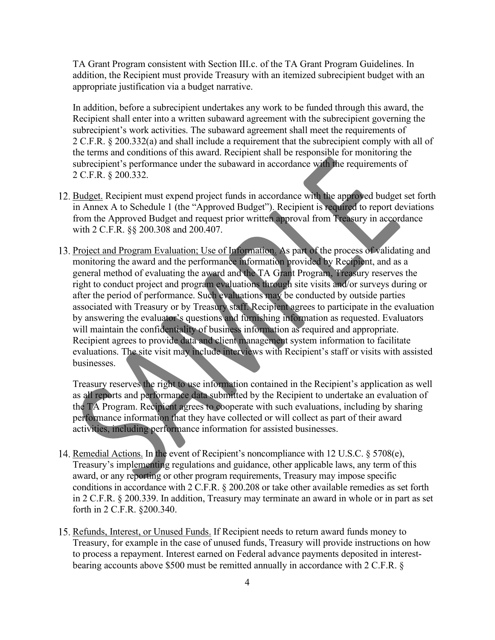TA Grant Program consistent with Section III.c. of the TA Grant Program Guidelines. In addition, the Recipient must provide Treasury with an itemized subrecipient budget with an appropriate justification via a budget narrative.

In addition, before a subrecipient undertakes any work to be funded through this award, the Recipient shall enter into a written subaward agreement with the subrecipient governing the subrecipient's work activities. The subaward agreement shall meet the requirements of 2 C.F.R. § 200.332(a) and shall include a requirement that the subrecipient comply with all of the terms and conditions of this award. Recipient shall be responsible for monitoring the subrecipient's performance under the subaward in accordance with the requirements of 2 C.F.R. § 200.332.

- 12. Budget. Recipient must expend project funds in accordance with the approved budget set forth in Annex A to Schedule 1 (the "Approved Budget"). Recipient is required to report deviations from the Approved Budget and request prior written approval from Treasury in accordance with 2 C.F.R. §§ 200.308 and 200.407.
- 13. Project and Program Evaluation; Use of Information. As part of the process of validating and monitoring the award and the performance information provided by Recipient, and as a general method of evaluating the award and the TA Grant Program, Treasury reserves the right to conduct project and program evaluations through site visits and/or surveys during or after the period of performance. Such evaluations may be conducted by outside parties associated with Treasury or by Treasury staff. Recipient agrees to participate in the evaluation by answering the evaluator's questions and furnishing information as requested. Evaluators will maintain the confidentiality of business information as required and appropriate. Recipient agrees to provide data and client management system information to facilitate evaluations. The site visit may include interviews with Recipient's staff or visits with assisted businesses.

Treasury reserves the right to use information contained in the Recipient's application as well as all reports and performance data submitted by the Recipient to undertake an evaluation of the TA Program. Recipient agrees to cooperate with such evaluations, including by sharing performance information that they have collected or will collect as part of their award activities, including performance information for assisted businesses.

- 14. Remedial Actions. In the event of Recipient's noncompliance with 12 U.S.C. § 5708(e), Treasury's implementing regulations and guidance, other applicable laws, any term of this award, or any reporting or other program requirements, Treasury may impose specific conditions in accordance with 2 C.F.R. § 200.208 or take other available remedies as set forth in 2 C.F.R. § 200.339. In addition, Treasury may terminate an award in whole or in part as set forth in 2 C.F.R. §200.340.
- 15. Refunds, Interest, or Unused Funds. If Recipient needs to return award funds money to Treasury, for example in the case of unused funds, Treasury will provide instructions on how to process a repayment. Interest earned on Federal advance payments deposited in interestbearing accounts above \$500 must be remitted annually in accordance with 2 C.F.R. §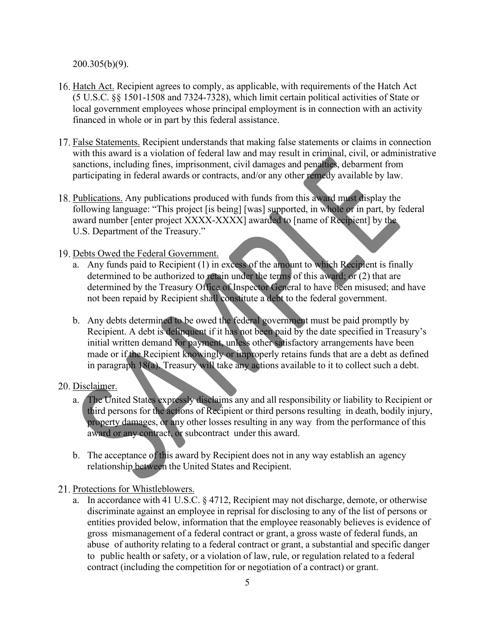200.305(b)(9).

- 16. Hatch Act. Recipient agrees to comply, as applicable, with requirements of the Hatch Act (5 U.S.C. §§ 1501-1508 and 7324-7328), which limit certain political activities of State or local government employees whose principal employment is in connection with an activity financed in whole or in part by this federal assistance.
- 17. False Statements. Recipient understands that making false statements or claims in connection with this award is a violation of federal law and may result in criminal, civil, or administrative sanctions, including fines, imprisonment, civil damages and penalties, debarment from participating in federal awards or contracts, and/or any other remedy available by law.
- 18. Publications. Any publications produced with funds from this award must display the following language: "This project [is being] [was] supported, in whole or in part, by federal award number [enter project XXXX-XXXX] awarded to [name of Recipient] by the U.S. Department of the Treasury."
- 19. Debts Owed the Federal Government.
	- a. Any funds paid to Recipient  $(1)$  in excess of the amount to which Recipient is finally determined to be authorized to retain under the terms of this award; or (2) that are determined by the Treasury Office of Inspector General to have been misused; and have not been repaid by Recipient shall constitute a debt to the federal government.
	- b. Any debts determined to be owed the federal government must be paid promptly by Recipient. A debt is delinquent if it has not been paid by the date specified in Treasury's initial written demand for payment, unless other satisfactory arrangements have been made or if the Recipient knowingly or improperly retains funds that are a debt as defined in paragraph 18(a). Treasury will take any actions available to it to collect such a debt.

#### 20. Disclaimer.

- a. The United States expressly disclaims any and all responsibility or liability to Recipient or third persons for the actions of Recipient or third persons resulting in death, bodily injury, property damages, or any other losses resulting in any way from the performance of this award or any contract, or subcontract under this award.
- b. The acceptance of this award by Recipient does not in any way establish an agency relationship between the United States and Recipient.
- 21. Protections for Whistleblowers.
	- a. In accordance with 41 U.S.C. § 4712, Recipient may not discharge, demote, or otherwise discriminate against an employee in reprisal for disclosing to any of the list of persons or entities provided below, information that the employee reasonably believes is evidence of gross mismanagement of a federal contract or grant, a gross waste of federal funds, an abuse of authority relating to a federal contract or grant, a substantial and specific danger to public health or safety, or a violation of law, rule, or regulation related to a federal contract (including the competition for or negotiation of a contract) or grant.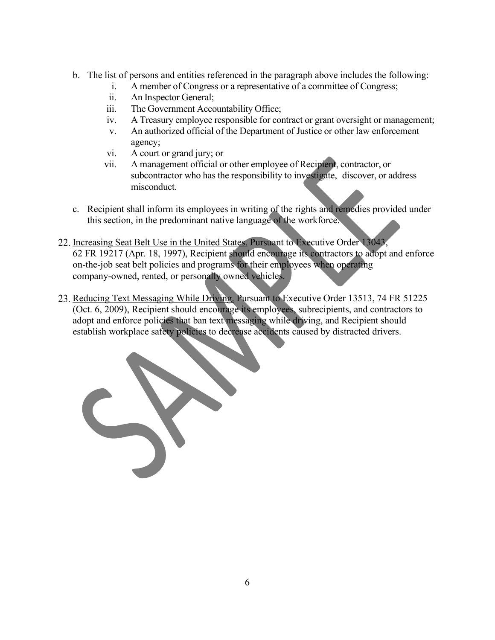- b. The list of persons and entities referenced in the paragraph above includes the following:
	- i. A member of Congress or a representative of a committee of Congress;
	- ii. An Inspector General;
	- iii. The Government Accountability Office;
	- iv. A Treasury employee responsible for contract or grant oversight or management;
	- v. An authorized official of the Department of Justice or other law enforcement agency;
	- vi. A court or grand jury; or
	- vii. A management official or other employee of Recipient, contractor, or subcontractor who has the responsibility to investigate, discover, or address misconduct.
- c. Recipient shall inform its employees in writing of the rights and remedies provided under this section, in the predominant native language of the workforce.
- 22. Increasing Seat Belt Use in the United States. Pursuant to Executive Order 13043, 62 FR 19217 (Apr. 18, 1997), Recipient should encourage its contractors to adopt and enforce on-the-job seat belt policies and programs for their employees when operating company-owned, rented, or personally owned vehicles.
- 23. Reducing Text Messaging While Driving. Pursuant to Executive Order 13513, 74 FR 51225 (Oct. 6, 2009), Recipient should encourage its employees, subrecipients, and contractors to adopt and enforce policies that ban text messaging while driving, and Recipient should establish workplace safety policies to decrease accidents caused by distracted drivers.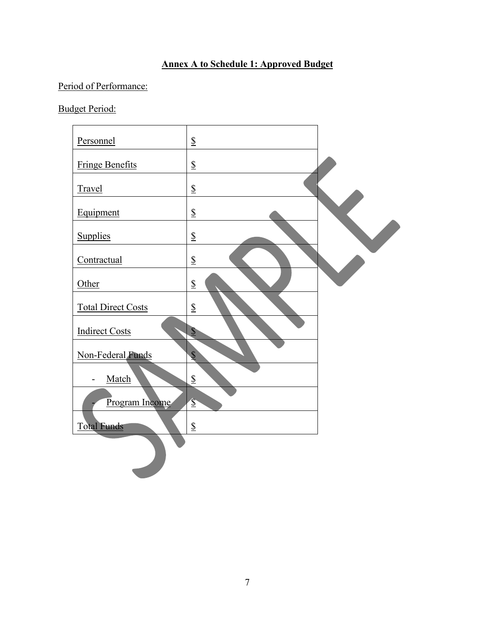## **Annex A to Schedule 1: Approved Budget**

# Period of Performance:

Budget Period:

| Personnel                 | $\S$                     |  |
|---------------------------|--------------------------|--|
| <b>Fringe Benefits</b>    | $\underline{\mathbb{S}}$ |  |
| Travel                    | $\S$                     |  |
| Equipment                 | ${\mathbb S}$            |  |
| Supplies                  | $\S$                     |  |
| Contractual               | $\S$                     |  |
| Other                     | ${\mathbb S}$            |  |
| <b>Total Direct Costs</b> | $\underline{\mathbb{S}}$ |  |
| <b>Indirect Costs</b>     | $\overline{\mathcal{E}}$ |  |
| Non-Federal Funds         | $\overline{\mathbb{S}}$  |  |
| Match                     | $\underline{\mathbb{S}}$ |  |
| Program Income            | $\hat{\mathbb{S}}$       |  |
| <b>Total Funds</b>        | ${\mathbb S}$            |  |
|                           |                          |  |
|                           |                          |  |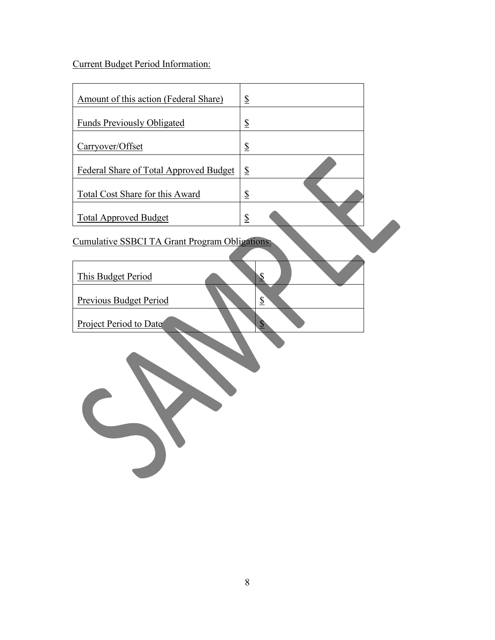Current Budget Period Information:

| Amount of this action (Federal Share)                 | $\frac{1}{2}$              |
|-------------------------------------------------------|----------------------------|
| <b>Funds Previously Obligated</b>                     | $\underline{\mathbb{S}}$   |
| Carryover/Offset                                      | $\overline{\mathbb{S}}$    |
| Federal Share of Total Approved Budget                | $\frac{1}{2}$              |
| <b>Total Cost Share for this Award</b>                | $\overline{\mathcal{L}}$   |
| <b>Total Approved Budget</b>                          | $\overline{\mathbb{S}}$    |
|                                                       |                            |
| <b>Cumulative SSBCI TA Grant Program Obligations:</b> |                            |
| This Budget Period                                    | \$                         |
| Previous Budget Period                                | $\overline{\mathcal{E}}$   |
| <b>Project Period to Date</b>                         | $\boldsymbol{\mathcal{S}}$ |
|                                                       |                            |